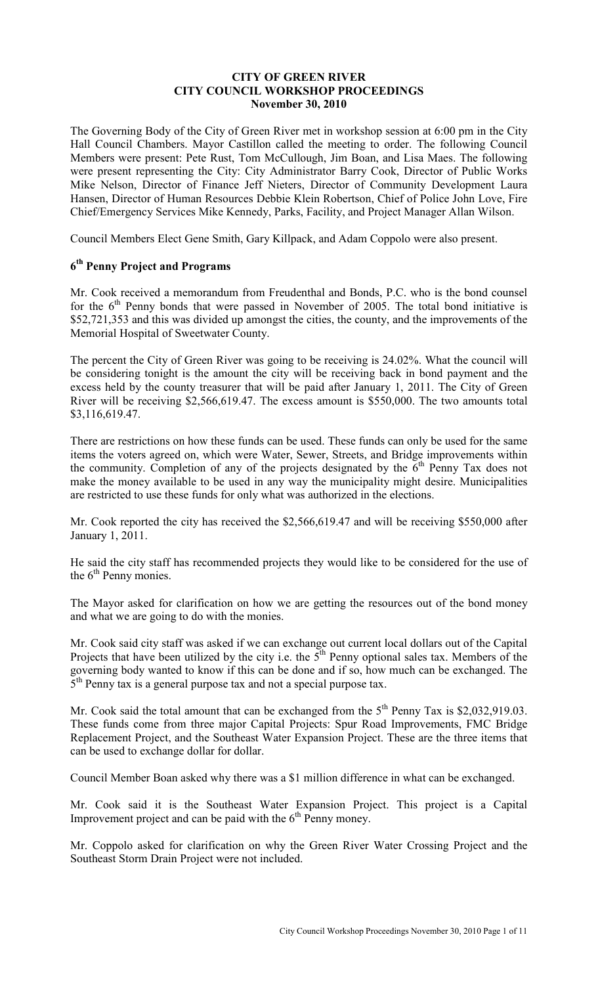#### **CITY OF GREEN RIVER CITY COUNCIL WORKSHOP PROCEEDINGS November 30, 2010**

The Governing Body of the City of Green River met in workshop session at 6:00 pm in the City Hall Council Chambers. Mayor Castillon called the meeting to order. The following Council Members were present: Pete Rust, Tom McCullough, Jim Boan, and Lisa Maes. The following were present representing the City: City Administrator Barry Cook, Director of Public Works Mike Nelson, Director of Finance Jeff Nieters, Director of Community Development Laura Hansen, Director of Human Resources Debbie Klein Robertson, Chief of Police John Love, Fire Chief/Emergency Services Mike Kennedy, Parks, Facility, and Project Manager Allan Wilson.

Council Members Elect Gene Smith, Gary Killpack, and Adam Coppolo were also present.

# **6 th Penny Project and Programs**

Mr. Cook received a memorandum from Freudenthal and Bonds, P.C. who is the bond counsel for the  $6<sup>th</sup>$  Penny bonds that were passed in November of 2005. The total bond initiative is \$52,721,353 and this was divided up amongst the cities, the county, and the improvements of the Memorial Hospital of Sweetwater County.

The percent the City of Green River was going to be receiving is 24.02%. What the council will be considering tonight is the amount the city will be receiving back in bond payment and the excess held by the county treasurer that will be paid after January 1, 2011. The City of Green River will be receiving \$2,566,619.47. The excess amount is \$550,000. The two amounts total \$3,116,619.47.

There are restrictions on how these funds can be used. These funds can only be used for the same items the voters agreed on, which were Water, Sewer, Streets, and Bridge improvements within the community. Completion of any of the projects designated by the  $\vec{6}$ <sup>th</sup> Penny Tax does not make the money available to be used in any way the municipality might desire. Municipalities are restricted to use these funds for only what was authorized in the elections.

Mr. Cook reported the city has received the \$2,566,619.47 and will be receiving \$550,000 after January 1, 2011.

He said the city staff has recommended projects they would like to be considered for the use of the  $6<sup>th</sup>$  Penny monies.

The Mayor asked for clarification on how we are getting the resources out of the bond money and what we are going to do with the monies.

Mr. Cook said city staff was asked if we can exchange out current local dollars out of the Capital Projects that have been utilized by the city i.e. the 5<sup>th</sup> Penny optional sales tax. Members of the governing body wanted to know if this can be done and if so, how much can be exchanged. The  $5<sup>th</sup>$  Penny tax is a general purpose tax and not a special purpose tax.

Mr. Cook said the total amount that can be exchanged from the  $5<sup>th</sup>$  Penny Tax is \$2,032,919.03. These funds come from three major Capital Projects: Spur Road Improvements, FMC Bridge Replacement Project, and the Southeast Water Expansion Project. These are the three items that can be used to exchange dollar for dollar.

Council Member Boan asked why there was a \$1 million difference in what can be exchanged.

Mr. Cook said it is the Southeast Water Expansion Project. This project is a Capital Improvement project and can be paid with the  $6<sup>th</sup>$  Penny money.

Mr. Coppolo asked for clarification on why the Green River Water Crossing Project and the Southeast Storm Drain Project were not included.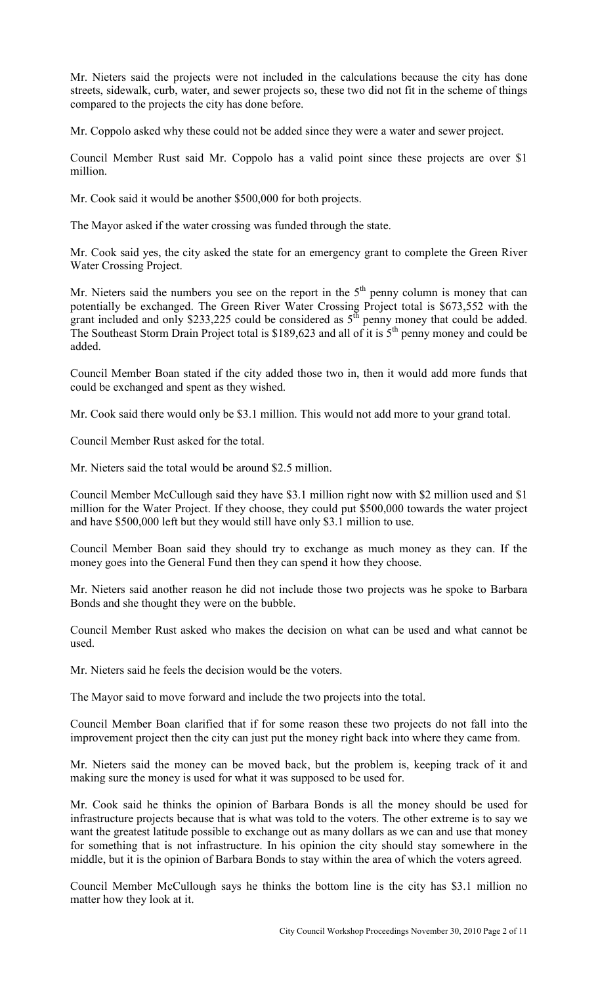Mr. Nieters said the projects were not included in the calculations because the city has done streets, sidewalk, curb, water, and sewer projects so, these two did not fit in the scheme of things compared to the projects the city has done before.

Mr. Coppolo asked why these could not be added since they were a water and sewer project.

Council Member Rust said Mr. Coppolo has a valid point since these projects are over \$1 million.

Mr. Cook said it would be another \$500,000 for both projects.

The Mayor asked if the water crossing was funded through the state.

Mr. Cook said yes, the city asked the state for an emergency grant to complete the Green River Water Crossing Project.

Mr. Nieters said the numbers you see on the report in the  $5<sup>th</sup>$  penny column is money that can potentially be exchanged. The Green River Water Crossing Project total is \$673,552 with the grant included and only \$233,225 could be considered as  $5<sup>th</sup>$  penny money that could be added. The Southeast Storm Drain Project total is \$189,623 and all of it is  $5<sup>th</sup>$  penny money and could be added.

Council Member Boan stated if the city added those two in, then it would add more funds that could be exchanged and spent as they wished.

Mr. Cook said there would only be \$3.1 million. This would not add more to your grand total.

Council Member Rust asked for the total.

Mr. Nieters said the total would be around \$2.5 million.

Council Member McCullough said they have \$3.1 million right now with \$2 million used and \$1 million for the Water Project. If they choose, they could put \$500,000 towards the water project and have \$500,000 left but they would still have only \$3.1 million to use.

Council Member Boan said they should try to exchange as much money as they can. If the money goes into the General Fund then they can spend it how they choose.

Mr. Nieters said another reason he did not include those two projects was he spoke to Barbara Bonds and she thought they were on the bubble.

Council Member Rust asked who makes the decision on what can be used and what cannot be used.

Mr. Nieters said he feels the decision would be the voters.

The Mayor said to move forward and include the two projects into the total.

Council Member Boan clarified that if for some reason these two projects do not fall into the improvement project then the city can just put the money right back into where they came from.

Mr. Nieters said the money can be moved back, but the problem is, keeping track of it and making sure the money is used for what it was supposed to be used for.

Mr. Cook said he thinks the opinion of Barbara Bonds is all the money should be used for infrastructure projects because that is what was told to the voters. The other extreme is to say we want the greatest latitude possible to exchange out as many dollars as we can and use that money for something that is not infrastructure. In his opinion the city should stay somewhere in the middle, but it is the opinion of Barbara Bonds to stay within the area of which the voters agreed.

Council Member McCullough says he thinks the bottom line is the city has \$3.1 million no matter how they look at it.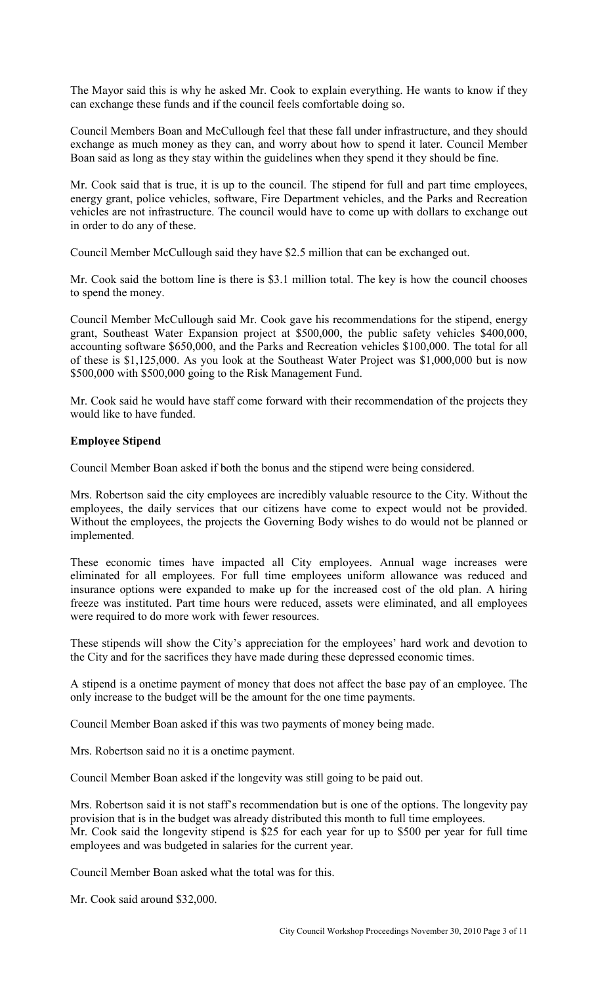The Mayor said this is why he asked Mr. Cook to explain everything. He wants to know if they can exchange these funds and if the council feels comfortable doing so.

Council Members Boan and McCullough feel that these fall under infrastructure, and they should exchange as much money as they can, and worry about how to spend it later. Council Member Boan said as long as they stay within the guidelines when they spend it they should be fine.

Mr. Cook said that is true, it is up to the council. The stipend for full and part time employees, energy grant, police vehicles, software, Fire Department vehicles, and the Parks and Recreation vehicles are not infrastructure. The council would have to come up with dollars to exchange out in order to do any of these.

Council Member McCullough said they have \$2.5 million that can be exchanged out.

Mr. Cook said the bottom line is there is \$3.1 million total. The key is how the council chooses to spend the money.

Council Member McCullough said Mr. Cook gave his recommendations for the stipend, energy grant, Southeast Water Expansion project at \$500,000, the public safety vehicles \$400,000, accounting software \$650,000, and the Parks and Recreation vehicles \$100,000. The total for all of these is \$1,125,000. As you look at the Southeast Water Project was \$1,000,000 but is now \$500,000 with \$500,000 going to the Risk Management Fund.

Mr. Cook said he would have staff come forward with their recommendation of the projects they would like to have funded.

## **Employee Stipend**

Council Member Boan asked if both the bonus and the stipend were being considered.

Mrs. Robertson said the city employees are incredibly valuable resource to the City. Without the employees, the daily services that our citizens have come to expect would not be provided. Without the employees, the projects the Governing Body wishes to do would not be planned or implemented.

These economic times have impacted all City employees. Annual wage increases were eliminated for all employees. For full time employees uniform allowance was reduced and insurance options were expanded to make up for the increased cost of the old plan. A hiring freeze was instituted. Part time hours were reduced, assets were eliminated, and all employees were required to do more work with fewer resources.

These stipends will show the City's appreciation for the employees' hard work and devotion to the City and for the sacrifices they have made during these depressed economic times.

A stipend is a onetime payment of money that does not affect the base pay of an employee. The only increase to the budget will be the amount for the one time payments.

Council Member Boan asked if this was two payments of money being made.

Mrs. Robertson said no it is a onetime payment.

Council Member Boan asked if the longevity was still going to be paid out.

Mrs. Robertson said it is not staff's recommendation but is one of the options. The longevity pay provision that is in the budget was already distributed this month to full time employees. Mr. Cook said the longevity stipend is \$25 for each year for up to \$500 per year for full time employees and was budgeted in salaries for the current year.

Council Member Boan asked what the total was for this.

Mr. Cook said around \$32,000.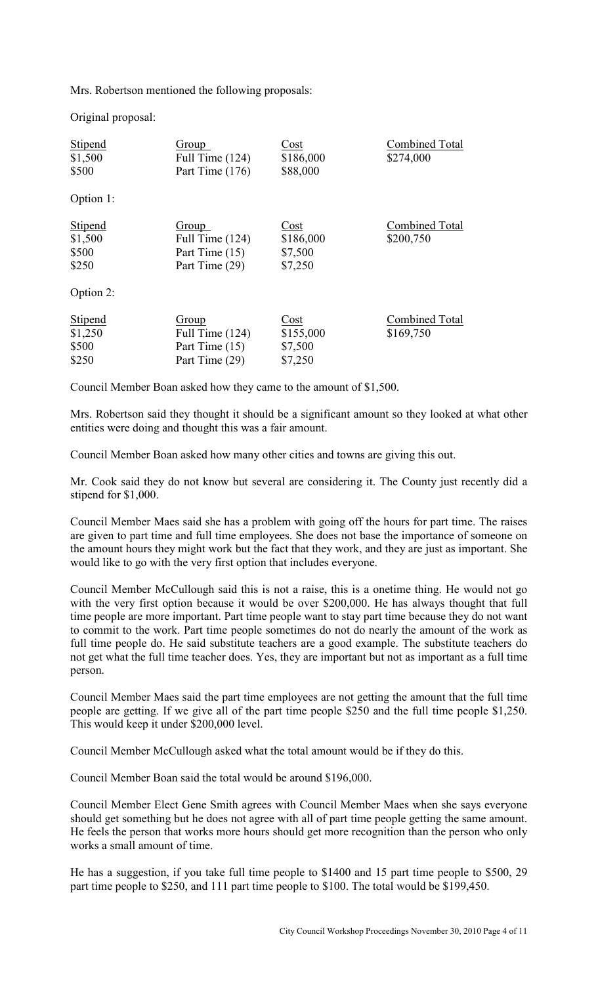Mrs. Robertson mentioned the following proposals:

Original proposal:

| <b>Stipend</b><br>\$1,500<br>\$500          | Group<br>Full Time (124)<br>Part Time (176)                    | Cost<br>\$186,000<br>\$88,000           | <b>Combined Total</b><br>\$274,000 |
|---------------------------------------------|----------------------------------------------------------------|-----------------------------------------|------------------------------------|
| Option 1:                                   |                                                                |                                         |                                    |
| <b>Stipend</b><br>\$1,500<br>\$500<br>\$250 | Group<br>Full Time $(124)$<br>Part Time (15)<br>Part Time (29) | Cost<br>\$186,000<br>\$7,500<br>\$7,250 | <b>Combined Total</b><br>\$200,750 |
| Option 2:                                   |                                                                |                                         |                                    |
| <b>Stipend</b><br>\$1,250<br>\$500<br>\$250 | Group<br>Full Time $(124)$<br>Part Time (15)<br>Part Time (29) | Cost<br>\$155,000<br>\$7,500<br>\$7,250 | <b>Combined Total</b><br>\$169,750 |

Council Member Boan asked how they came to the amount of \$1,500.

Mrs. Robertson said they thought it should be a significant amount so they looked at what other entities were doing and thought this was a fair amount.

Council Member Boan asked how many other cities and towns are giving this out.

Mr. Cook said they do not know but several are considering it. The County just recently did a stipend for \$1,000.

Council Member Maes said she has a problem with going off the hours for part time. The raises are given to part time and full time employees. She does not base the importance of someone on the amount hours they might work but the fact that they work, and they are just as important. She would like to go with the very first option that includes everyone.

Council Member McCullough said this is not a raise, this is a onetime thing. He would not go with the very first option because it would be over \$200,000. He has always thought that full time people are more important. Part time people want to stay part time because they do not want to commit to the work. Part time people sometimes do not do nearly the amount of the work as full time people do. He said substitute teachers are a good example. The substitute teachers do not get what the full time teacher does. Yes, they are important but not as important as a full time person.

Council Member Maes said the part time employees are not getting the amount that the full time people are getting. If we give all of the part time people \$250 and the full time people \$1,250. This would keep it under \$200,000 level.

Council Member McCullough asked what the total amount would be if they do this.

Council Member Boan said the total would be around \$196,000.

Council Member Elect Gene Smith agrees with Council Member Maes when she says everyone should get something but he does not agree with all of part time people getting the same amount. He feels the person that works more hours should get more recognition than the person who only works a small amount of time.

He has a suggestion, if you take full time people to \$1400 and 15 part time people to \$500, 29 part time people to \$250, and 111 part time people to \$100. The total would be \$199,450.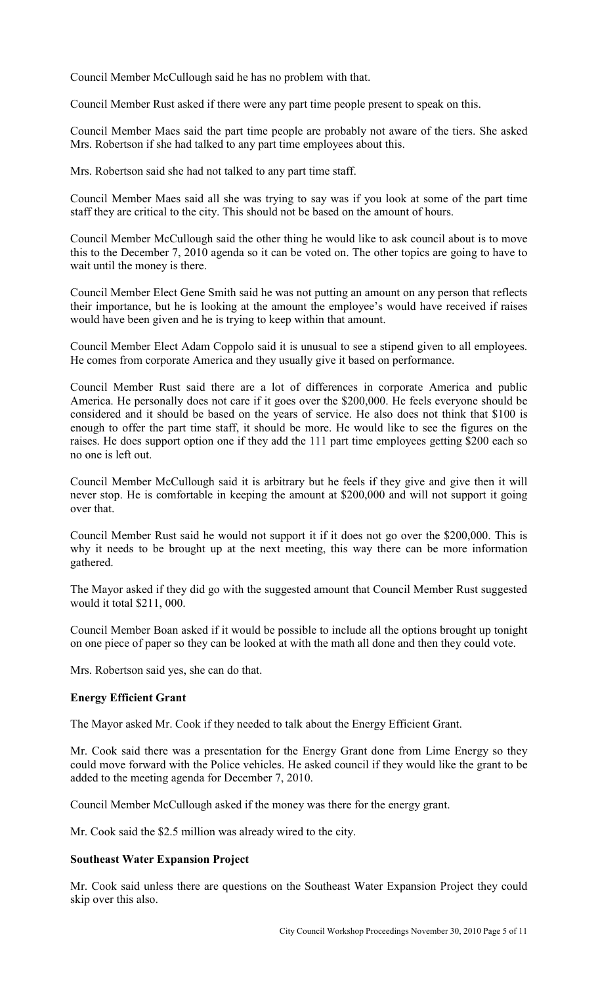Council Member McCullough said he has no problem with that.

Council Member Rust asked if there were any part time people present to speak on this.

Council Member Maes said the part time people are probably not aware of the tiers. She asked Mrs. Robertson if she had talked to any part time employees about this.

Mrs. Robertson said she had not talked to any part time staff.

Council Member Maes said all she was trying to say was if you look at some of the part time staff they are critical to the city. This should not be based on the amount of hours.

Council Member McCullough said the other thing he would like to ask council about is to move this to the December 7, 2010 agenda so it can be voted on. The other topics are going to have to wait until the money is there.

Council Member Elect Gene Smith said he was not putting an amount on any person that reflects their importance, but he is looking at the amount the employee's would have received if raises would have been given and he is trying to keep within that amount.

Council Member Elect Adam Coppolo said it is unusual to see a stipend given to all employees. He comes from corporate America and they usually give it based on performance.

Council Member Rust said there are a lot of differences in corporate America and public America. He personally does not care if it goes over the \$200,000. He feels everyone should be considered and it should be based on the years of service. He also does not think that \$100 is enough to offer the part time staff, it should be more. He would like to see the figures on the raises. He does support option one if they add the 111 part time employees getting \$200 each so no one is left out.

Council Member McCullough said it is arbitrary but he feels if they give and give then it will never stop. He is comfortable in keeping the amount at \$200,000 and will not support it going over that.

Council Member Rust said he would not support it if it does not go over the \$200,000. This is why it needs to be brought up at the next meeting, this way there can be more information gathered.

The Mayor asked if they did go with the suggested amount that Council Member Rust suggested would it total \$211, 000.

Council Member Boan asked if it would be possible to include all the options brought up tonight on one piece of paper so they can be looked at with the math all done and then they could vote.

Mrs. Robertson said yes, she can do that.

### **Energy Efficient Grant**

The Mayor asked Mr. Cook if they needed to talk about the Energy Efficient Grant.

Mr. Cook said there was a presentation for the Energy Grant done from Lime Energy so they could move forward with the Police vehicles. He asked council if they would like the grant to be added to the meeting agenda for December 7, 2010.

Council Member McCullough asked if the money was there for the energy grant.

Mr. Cook said the \$2.5 million was already wired to the city.

#### **Southeast Water Expansion Project**

Mr. Cook said unless there are questions on the Southeast Water Expansion Project they could skip over this also.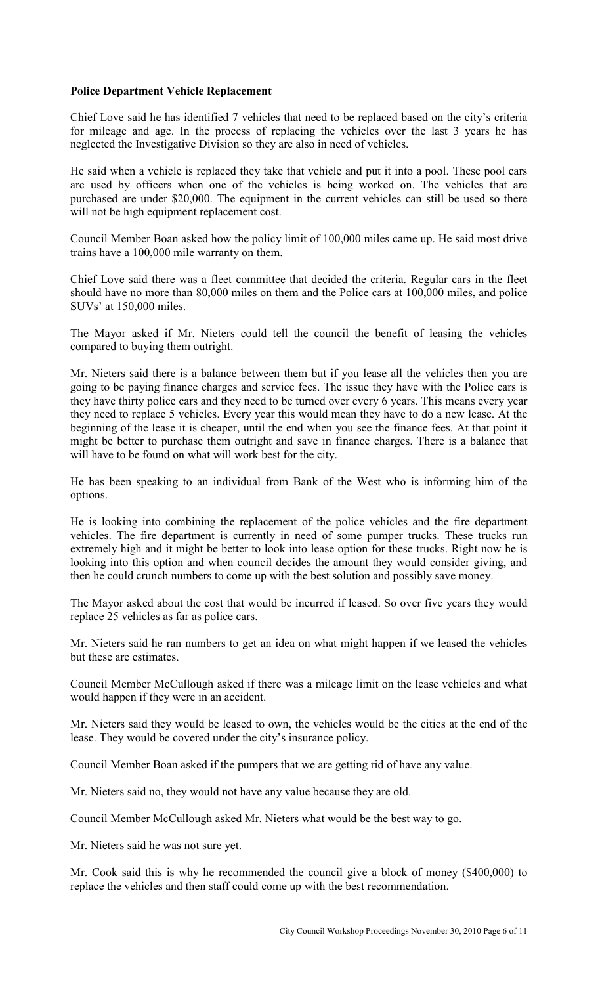### **Police Department Vehicle Replacement**

Chief Love said he has identified 7 vehicles that need to be replaced based on the city's criteria for mileage and age. In the process of replacing the vehicles over the last 3 years he has neglected the Investigative Division so they are also in need of vehicles.

He said when a vehicle is replaced they take that vehicle and put it into a pool. These pool cars are used by officers when one of the vehicles is being worked on. The vehicles that are purchased are under \$20,000. The equipment in the current vehicles can still be used so there will not be high equipment replacement cost.

Council Member Boan asked how the policy limit of 100,000 miles came up. He said most drive trains have a 100,000 mile warranty on them.

Chief Love said there was a fleet committee that decided the criteria. Regular cars in the fleet should have no more than 80,000 miles on them and the Police cars at 100,000 miles, and police SUVs' at 150,000 miles.

The Mayor asked if Mr. Nieters could tell the council the benefit of leasing the vehicles compared to buying them outright.

Mr. Nieters said there is a balance between them but if you lease all the vehicles then you are going to be paying finance charges and service fees. The issue they have with the Police cars is they have thirty police cars and they need to be turned over every 6 years. This means every year they need to replace 5 vehicles. Every year this would mean they have to do a new lease. At the beginning of the lease it is cheaper, until the end when you see the finance fees. At that point it might be better to purchase them outright and save in finance charges. There is a balance that will have to be found on what will work best for the city.

He has been speaking to an individual from Bank of the West who is informing him of the options.

He is looking into combining the replacement of the police vehicles and the fire department vehicles. The fire department is currently in need of some pumper trucks. These trucks run extremely high and it might be better to look into lease option for these trucks. Right now he is looking into this option and when council decides the amount they would consider giving, and then he could crunch numbers to come up with the best solution and possibly save money.

The Mayor asked about the cost that would be incurred if leased. So over five years they would replace 25 vehicles as far as police cars.

Mr. Nieters said he ran numbers to get an idea on what might happen if we leased the vehicles but these are estimates.

Council Member McCullough asked if there was a mileage limit on the lease vehicles and what would happen if they were in an accident.

Mr. Nieters said they would be leased to own, the vehicles would be the cities at the end of the lease. They would be covered under the city's insurance policy.

Council Member Boan asked if the pumpers that we are getting rid of have any value.

Mr. Nieters said no, they would not have any value because they are old.

Council Member McCullough asked Mr. Nieters what would be the best way to go.

Mr. Nieters said he was not sure yet.

Mr. Cook said this is why he recommended the council give a block of money (\$400,000) to replace the vehicles and then staff could come up with the best recommendation.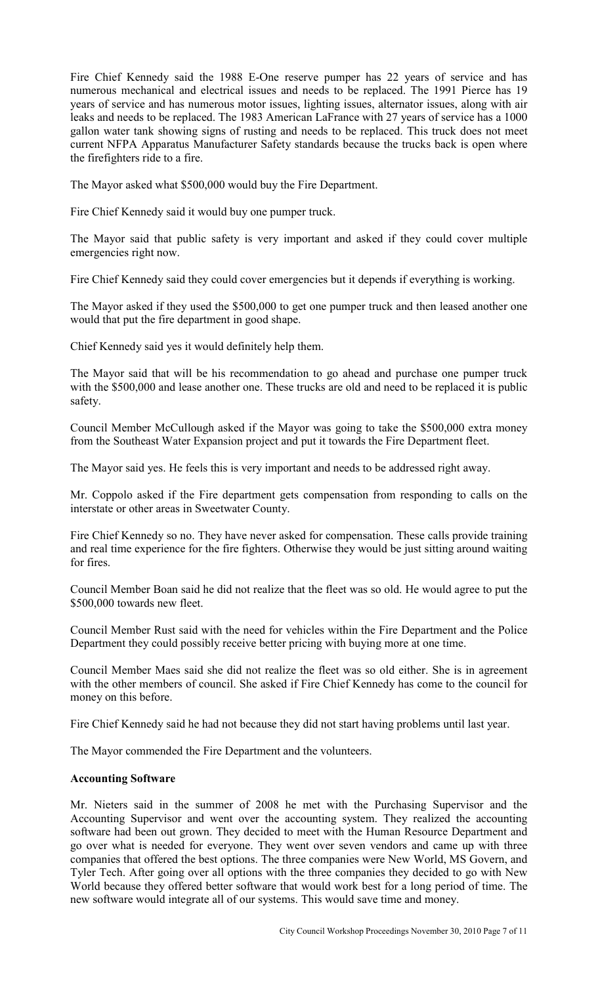Fire Chief Kennedy said the 1988 E-One reserve pumper has 22 years of service and has numerous mechanical and electrical issues and needs to be replaced. The 1991 Pierce has 19 years of service and has numerous motor issues, lighting issues, alternator issues, along with air leaks and needs to be replaced. The 1983 American LaFrance with 27 years of service has a 1000 gallon water tank showing signs of rusting and needs to be replaced. This truck does not meet current NFPA Apparatus Manufacturer Safety standards because the trucks back is open where the firefighters ride to a fire.

The Mayor asked what \$500,000 would buy the Fire Department.

Fire Chief Kennedy said it would buy one pumper truck.

The Mayor said that public safety is very important and asked if they could cover multiple emergencies right now.

Fire Chief Kennedy said they could cover emergencies but it depends if everything is working.

The Mayor asked if they used the \$500,000 to get one pumper truck and then leased another one would that put the fire department in good shape.

Chief Kennedy said yes it would definitely help them.

The Mayor said that will be his recommendation to go ahead and purchase one pumper truck with the \$500,000 and lease another one. These trucks are old and need to be replaced it is public safety.

Council Member McCullough asked if the Mayor was going to take the \$500,000 extra money from the Southeast Water Expansion project and put it towards the Fire Department fleet.

The Mayor said yes. He feels this is very important and needs to be addressed right away.

Mr. Coppolo asked if the Fire department gets compensation from responding to calls on the interstate or other areas in Sweetwater County.

Fire Chief Kennedy so no. They have never asked for compensation. These calls provide training and real time experience for the fire fighters. Otherwise they would be just sitting around waiting for fires.

Council Member Boan said he did not realize that the fleet was so old. He would agree to put the \$500,000 towards new fleet.

Council Member Rust said with the need for vehicles within the Fire Department and the Police Department they could possibly receive better pricing with buying more at one time.

Council Member Maes said she did not realize the fleet was so old either. She is in agreement with the other members of council. She asked if Fire Chief Kennedy has come to the council for money on this before.

Fire Chief Kennedy said he had not because they did not start having problems until last year.

The Mayor commended the Fire Department and the volunteers.

### **Accounting Software**

Mr. Nieters said in the summer of 2008 he met with the Purchasing Supervisor and the Accounting Supervisor and went over the accounting system. They realized the accounting software had been out grown. They decided to meet with the Human Resource Department and go over what is needed for everyone. They went over seven vendors and came up with three companies that offered the best options. The three companies were New World, MS Govern, and Tyler Tech. After going over all options with the three companies they decided to go with New World because they offered better software that would work best for a long period of time. The new software would integrate all of our systems. This would save time and money.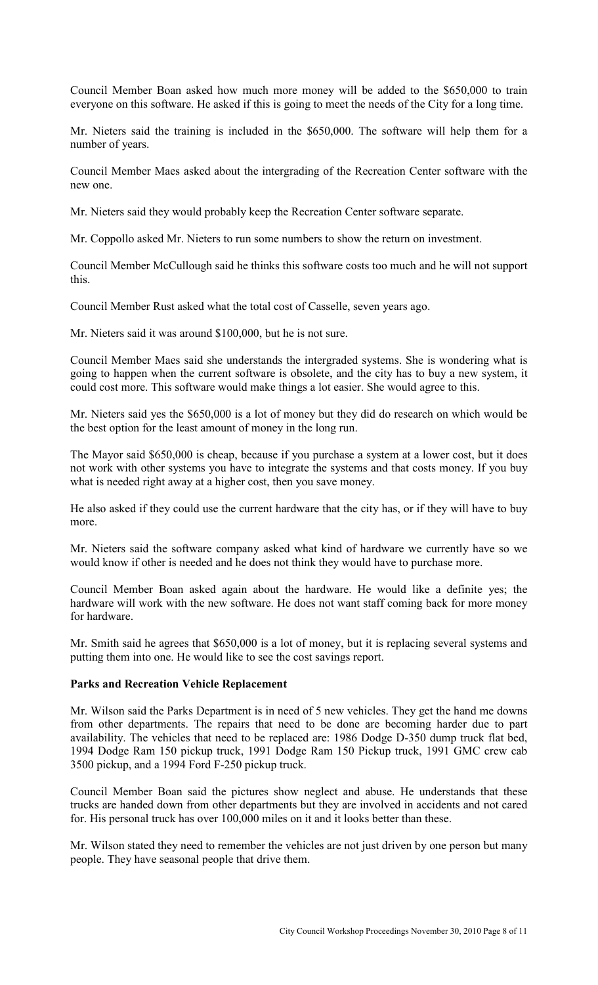Council Member Boan asked how much more money will be added to the \$650,000 to train everyone on this software. He asked if this is going to meet the needs of the City for a long time.

Mr. Nieters said the training is included in the \$650,000. The software will help them for a number of years.

Council Member Maes asked about the intergrading of the Recreation Center software with the new one.

Mr. Nieters said they would probably keep the Recreation Center software separate.

Mr. Coppollo asked Mr. Nieters to run some numbers to show the return on investment.

Council Member McCullough said he thinks this software costs too much and he will not support this.

Council Member Rust asked what the total cost of Casselle, seven years ago.

Mr. Nieters said it was around \$100,000, but he is not sure.

Council Member Maes said she understands the intergraded systems. She is wondering what is going to happen when the current software is obsolete, and the city has to buy a new system, it could cost more. This software would make things a lot easier. She would agree to this.

Mr. Nieters said yes the \$650,000 is a lot of money but they did do research on which would be the best option for the least amount of money in the long run.

The Mayor said \$650,000 is cheap, because if you purchase a system at a lower cost, but it does not work with other systems you have to integrate the systems and that costs money. If you buy what is needed right away at a higher cost, then you save money.

He also asked if they could use the current hardware that the city has, or if they will have to buy more.

Mr. Nieters said the software company asked what kind of hardware we currently have so we would know if other is needed and he does not think they would have to purchase more.

Council Member Boan asked again about the hardware. He would like a definite yes; the hardware will work with the new software. He does not want staff coming back for more money for hardware.

Mr. Smith said he agrees that \$650,000 is a lot of money, but it is replacing several systems and putting them into one. He would like to see the cost savings report.

#### **Parks and Recreation Vehicle Replacement**

Mr. Wilson said the Parks Department is in need of 5 new vehicles. They get the hand me downs from other departments. The repairs that need to be done are becoming harder due to part availability. The vehicles that need to be replaced are: 1986 Dodge D-350 dump truck flat bed, 1994 Dodge Ram 150 pickup truck, 1991 Dodge Ram 150 Pickup truck, 1991 GMC crew cab 3500 pickup, and a 1994 Ford F-250 pickup truck.

Council Member Boan said the pictures show neglect and abuse. He understands that these trucks are handed down from other departments but they are involved in accidents and not cared for. His personal truck has over 100,000 miles on it and it looks better than these.

Mr. Wilson stated they need to remember the vehicles are not just driven by one person but many people. They have seasonal people that drive them.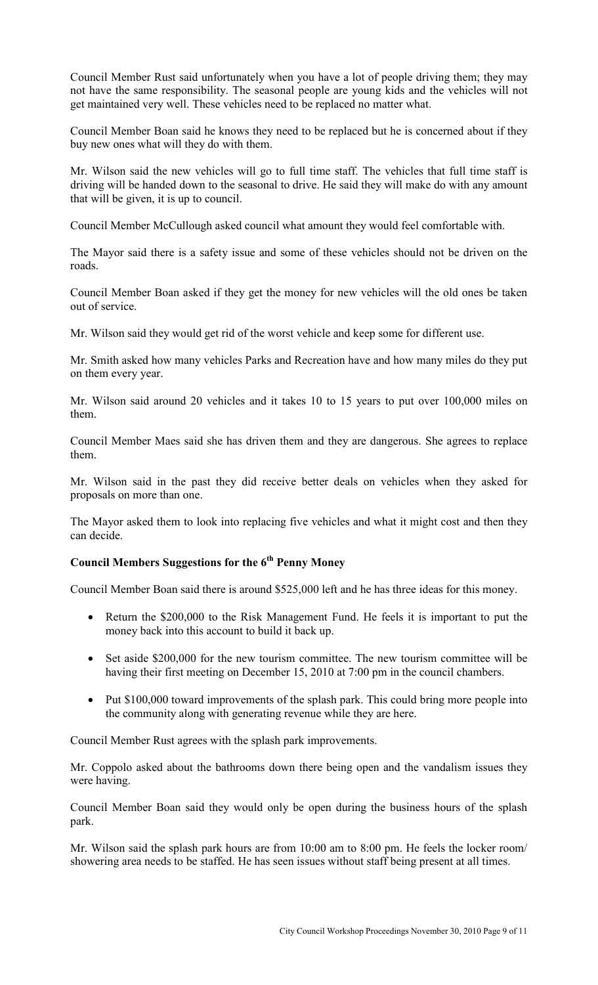Council Member Rust said unfortunately when you have a lot of people driving them; they may not have the same responsibility. The seasonal people are young kids and the vehicles will not get maintained very well. These vehicles need to be replaced no matter what.

Council Member Boan said he knows they need to be replaced but he is concerned about if they buy new ones what will they do with them.

Mr. Wilson said the new vehicles will go to full time staff. The vehicles that full time staff is driving will be handed down to the seasonal to drive. He said they will make do with any amount that will be given, it is up to council.

Council Member McCullough asked council what amount they would feel comfortable with.

The Mayor said there is a safety issue and some of these vehicles should not be driven on the roads.

Council Member Boan asked if they get the money for new vehicles will the old ones be taken out of service.

Mr. Wilson said they would get rid of the worst vehicle and keep some for different use.

Mr. Smith asked how many vehicles Parks and Recreation have and how many miles do they put on them every year.

Mr. Wilson said around 20 vehicles and it takes 10 to 15 years to put over 100,000 miles on them.

Council Member Maes said she has driven them and they are dangerous. She agrees to replace them.

Mr. Wilson said in the past they did receive better deals on vehicles when they asked for proposals on more than one.

The Mayor asked them to look into replacing five vehicles and what it might cost and then they can decide.

# **Council Members Suggestions for the 6th Penny Money**

Council Member Boan said there is around \$525,000 left and he has three ideas for this money.

- Return the \$200,000 to the Risk Management Fund. He feels it is important to put the money back into this account to build it back up.
- Set aside \$200,000 for the new tourism committee. The new tourism committee will be having their first meeting on December 15, 2010 at 7:00 pm in the council chambers.
- Put \$100,000 toward improvements of the splash park. This could bring more people into the community along with generating revenue while they are here.

Council Member Rust agrees with the splash park improvements.

Mr. Coppolo asked about the bathrooms down there being open and the vandalism issues they were having.

Council Member Boan said they would only be open during the business hours of the splash park.

Mr. Wilson said the splash park hours are from 10:00 am to 8:00 pm. He feels the locker room/ showering area needs to be staffed. He has seen issues without staff being present at all times.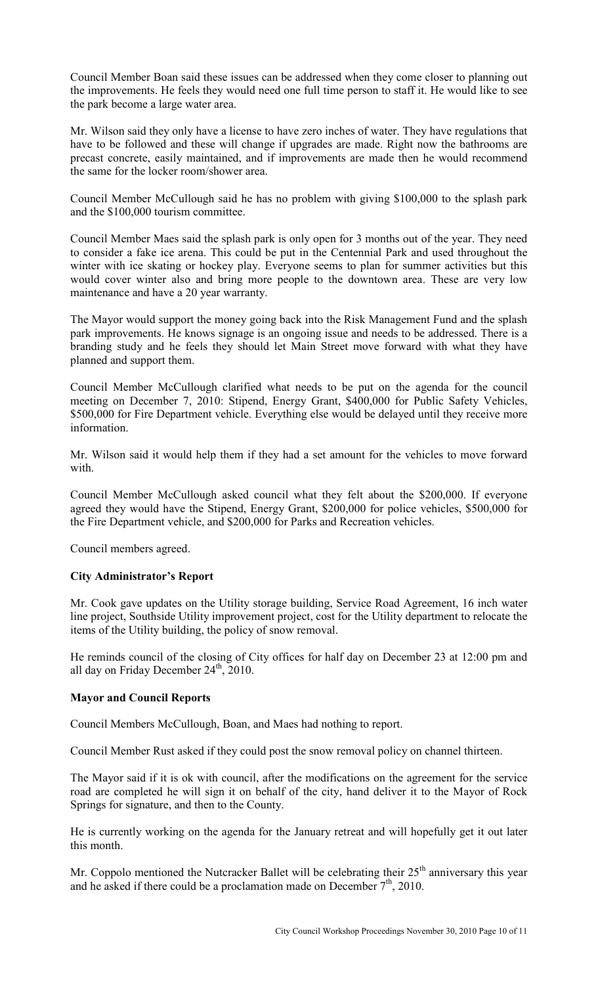Council Member Boan said these issues can be addressed when they come closer to planning out the improvements. He feels they would need one full time person to staff it. He would like to see the park become a large water area.

Mr. Wilson said they only have a license to have zero inches of water. They have regulations that have to be followed and these will change if upgrades are made. Right now the bathrooms are precast concrete, easily maintained, and if improvements are made then he would recommend the same for the locker room/shower area.

Council Member McCullough said he has no problem with giving \$100,000 to the splash park and the \$100,000 tourism committee.

Council Member Maes said the splash park is only open for 3 months out of the year. They need to consider a fake ice arena. This could be put in the Centennial Park and used throughout the winter with ice skating or hockey play. Everyone seems to plan for summer activities but this would cover winter also and bring more people to the downtown area. These are very low maintenance and have a 20 year warranty.

The Mayor would support the money going back into the Risk Management Fund and the splash park improvements. He knows signage is an ongoing issue and needs to be addressed. There is a branding study and he feels they should let Main Street move forward with what they have planned and support them.

Council Member McCullough clarified what needs to be put on the agenda for the council meeting on December 7, 2010: Stipend, Energy Grant, \$400,000 for Public Safety Vehicles, \$500,000 for Fire Department vehicle. Everything else would be delayed until they receive more information.

Mr. Wilson said it would help them if they had a set amount for the vehicles to move forward with.

Council Member McCullough asked council what they felt about the \$200,000. If everyone agreed they would have the Stipend, Energy Grant, \$200,000 for police vehicles, \$500,000 for the Fire Department vehicle, and \$200,000 for Parks and Recreation vehicles.

Council members agreed.

### **City Administrator's Report**

Mr. Cook gave updates on the Utility storage building, Service Road Agreement, 16 inch water line project, Southside Utility improvement project, cost for the Utility department to relocate the items of the Utility building, the policy of snow removal.

He reminds council of the closing of City offices for half day on December 23 at 12:00 pm and all day on Friday December  $24<sup>th</sup>$ , 2010.

### **Mayor and Council Reports**

Council Members McCullough, Boan, and Maes had nothing to report.

Council Member Rust asked if they could post the snow removal policy on channel thirteen.

The Mayor said if it is ok with council, after the modifications on the agreement for the service road are completed he will sign it on behalf of the city, hand deliver it to the Mayor of Rock Springs for signature, and then to the County.

He is currently working on the agenda for the January retreat and will hopefully get it out later this month.

Mr. Coppolo mentioned the Nutcracker Ballet will be celebrating their  $25<sup>th</sup>$  anniversary this year and he asked if there could be a proclamation made on December  $7<sup>th</sup>$ , 2010.